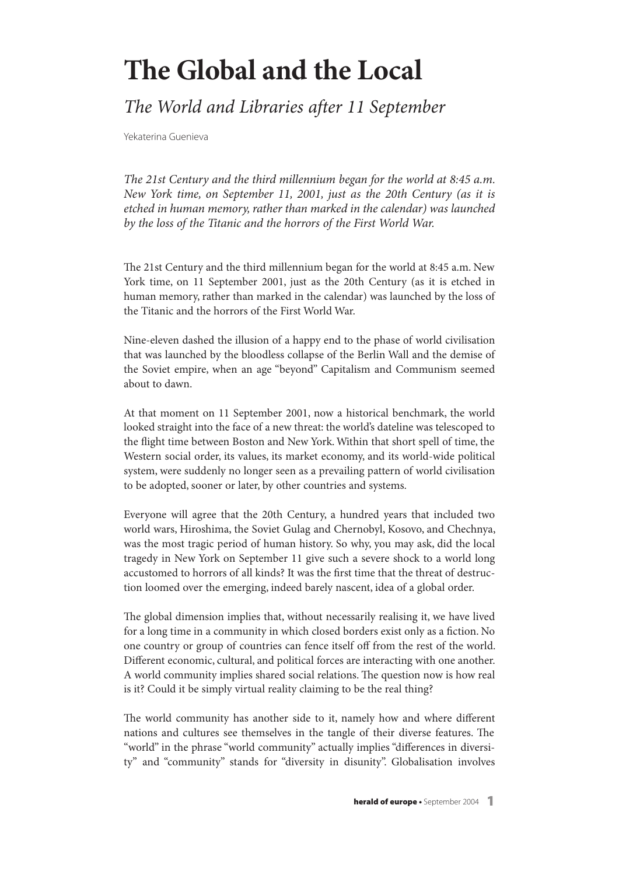## **The Global and the Local**

## The World and Libraries after 11 September

Yekaterina Guenieva

The 21st Century and the third millennium began for the world at 8:45 a.m. New York time, on September 11, 2001, just as the 20th Century (as it is etched in human memory, rather than marked in the calendar) was launched by the loss of the Titanic and the horrors of the First World War.

The 21st Century and the third millennium began for the world at 8:45 a.m. New York time, on 11 September 2001, just as the 20th Century (as it is etched in human memory, rather than marked in the calendar) was launched by the loss of the Titanic and the horrors of the First World War.

Nine-eleven dashed the illusion of a happy end to the phase of world civilisation that was launched by the bloodless collapse of the Berlin Wall and the demise of the Soviet empire, when an age "beyond" Capitalism and Communism seemed about to dawn.

At that moment on 11 September 2001, now a historical benchmark, the world looked straight into the face of a new threat: the world's dateline was telescoped to the flight time between Boston and New York.Within that short spell of time, the Western social order, its values, its market economy, and its world-wide political system, were suddenly no longer seen as a prevailing pattern of world civilisation to be adopted, sooner or later, by other countries and systems.

Everyone will agree that the 20th Century, a hundred years that included two world wars, Hiroshima, the Soviet Gulag and Chernobyl, Kosovo, and Chechnya, was the most tragic period of human history. So why, you may ask, did the local tragedy in New York on September 11 give such a severe shock to a world long accustomed to horrors of all kinds? It was the first time that the threat of destruction loomed over the emerging, indeed barely nascent, idea of a global order.

The global dimension implies that, without necessarily realising it, we have lived for a long time in a community in which closed borders exist only as a fiction. No one country or group of countries can fence itself off from the rest of the world. Different economic, cultural, and political forces are interacting with one another. A world community implies shared social relations. The question now is how real is it? Could it be simply virtual reality claiming to be the real thing?

The world community has another side to it, namely how and where different nations and cultures see themselves in the tangle of their diverse features. The "world" in the phrase "world community" actually implies "differences in diversity" and "community" stands for "diversity in disunity". Globalisation involves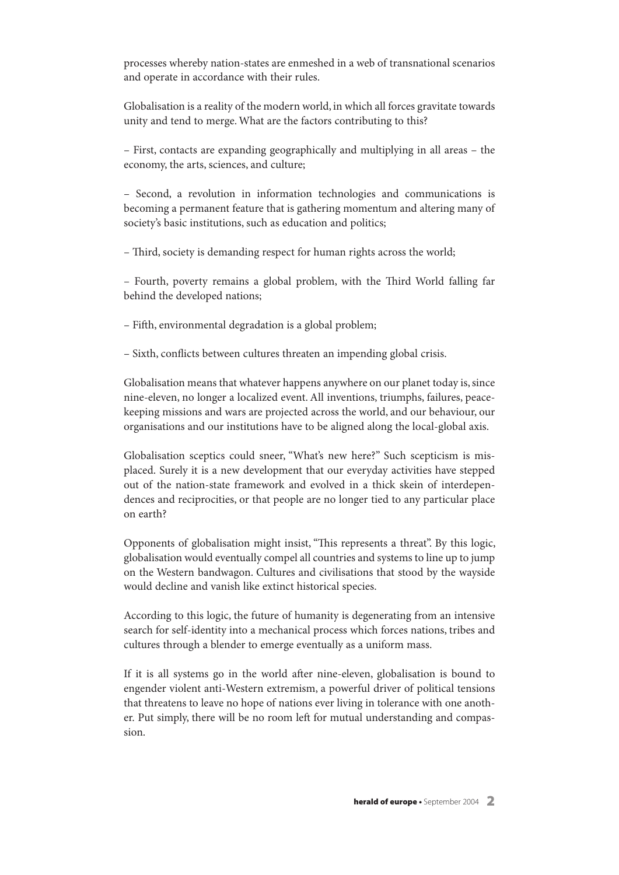processes whereby nation-states are enmeshed in a web of transnational scenarios and operate in accordance with their rules.

Globalisation is a reality of the modern world, in which all forces gravitate towards unity and tend to merge.What are the factors contributing to this?

– First, contacts are expanding geographically and multiplying in all areas – the economy, the arts, sciences, and culture;

– Second, a revolution in information technologies and communications is becoming a permanent feature that is gathering momentum and altering many of society's basic institutions, such as education and politics;

– Third, society is demanding respect for human rights across the world;

– Fourth, poverty remains a global problem, with the Kird World falling far behind the developed nations;

– Fifth, environmental degradation is a global problem;

– Sixth, conflicts between cultures threaten an impending global crisis.

Globalisation means that whatever happens anywhere on our planet today is, since nine-eleven, no longer a localized event. All inventions, triumphs, failures, peacekeeping missions and wars are projected across the world, and our behaviour, our organisations and our institutions have to be aligned along the local-global axis.

Globalisation sceptics could sneer, "What's new here?" Such scepticism is misplaced. Surely it is a new development that our everyday activities have stepped out of the nation-state framework and evolved in a thick skein of interdependences and reciprocities, or that people are no longer tied to any particular place on earth?

Opponents of globalisation might insist, "This represents a threat". By this logic, globalisation would eventually compel all countries and systems to line up to jump on the Western bandwagon. Cultures and civilisations that stood by the wayside would decline and vanish like extinct historical species.

According to this logic, the future of humanity is degenerating from an intensive search for self-identity into a mechanical process which forces nations, tribes and cultures through a blender to emerge eventually as a uniform mass.

If it is all systems go in the world after nine-eleven, globalisation is bound to engender violent anti-Western extremism, a powerful driver of political tensions that threatens to leave no hope of nations ever living in tolerance with one another. Put simply, there will be no room left for mutual understanding and compassion.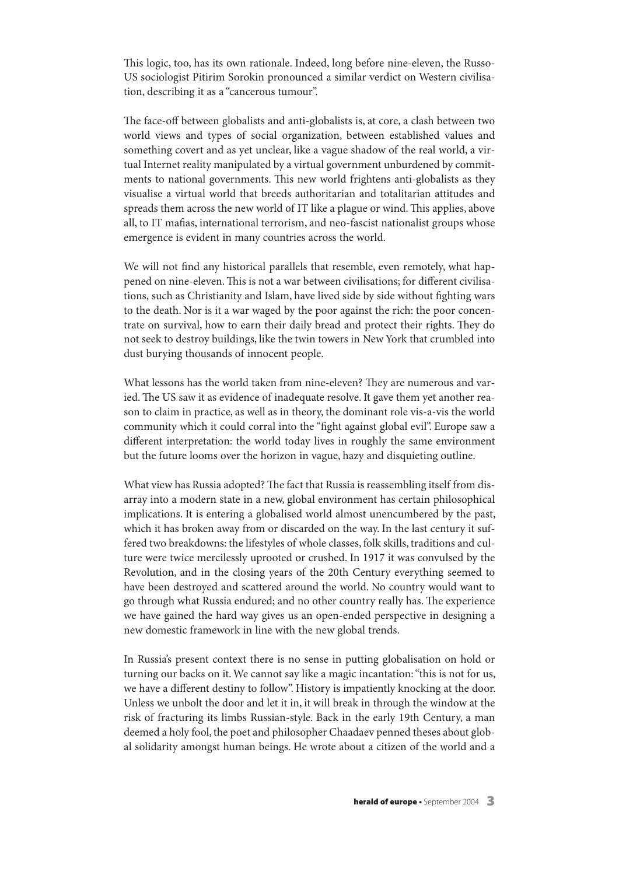This logic, too, has its own rationale. Indeed, long before nine-eleven, the Russo-US sociologist Pitirim Sorokin pronounced a similar verdict on Western civilisation, describing it as a "cancerous tumour".

The face-off between globalists and anti-globalists is, at core, a clash between two world views and types of social organization, between established values and something covert and as yet unclear, like a vague shadow of the real world, a virtual Internet reality manipulated by a virtual government unburdened by commitments to national governments. This new world frightens anti-globalists as they visualise a virtual world that breeds authoritarian and totalitarian attitudes and spreads them across the new world of IT like a plague or wind. This applies, above all, to IT mafias, international terrorism, and neo-fascist nationalist groups whose emergence is evident in many countries across the world.

We will not find any historical parallels that resemble, even remotely, what happened on nine-eleven. This is not a war between civilisations; for different civilisations, such as Christianity and Islam, have lived side by side without fighting wars to the death. Nor is it a war waged by the poor against the rich: the poor concentrate on survival, how to earn their daily bread and protect their rights. They do not seek to destroy buildings, like the twin towers in New York that crumbled into dust burying thousands of innocent people.

What lessons has the world taken from nine-eleven? They are numerous and varied. The US saw it as evidence of inadequate resolve. It gave them yet another reason to claim in practice, as well as in theory, the dominant role vis-а-vis the world community which it could corral into the "fight against global evil". Europe saw a different interpretation: the world today lives in roughly the same environment but the future looms over the horizon in vague, hazy and disquieting outline.

What view has Russia adopted? The fact that Russia is reassembling itself from disarray into a modern state in a new, global environment has certain philosophical implications. It is entering a globalised world almost unencumbered by the past, which it has broken away from or discarded on the way. In the last century it suffered two breakdowns: the lifestyles of whole classes, folk skills, traditions and culture were twice mercilessly uprooted or crushed. In 1917 it was convulsed by the Revolution, and in the closing years of the 20th Century everything seemed to have been destroyed and scattered around the world. No country would want to go through what Russia endured; and no other country really has. The experience we have gained the hard way gives us an open-ended perspective in designing a new domestic framework in line with the new global trends.

In Russia's present context there is no sense in putting globalisation on hold or turning our backs on it.We cannot say like a magic incantation:"this is not for us, we have a different destiny to follow". History is impatiently knocking at the door. Unless we unbolt the door and let it in, it will break in through the window at the risk of fracturing its limbs Russian-style. Back in the early 19th Century, a man deemed a holy fool, the poet and philosopher Chaadaev penned theses about global solidarity amongst human beings. He wrote about a citizen of the world and a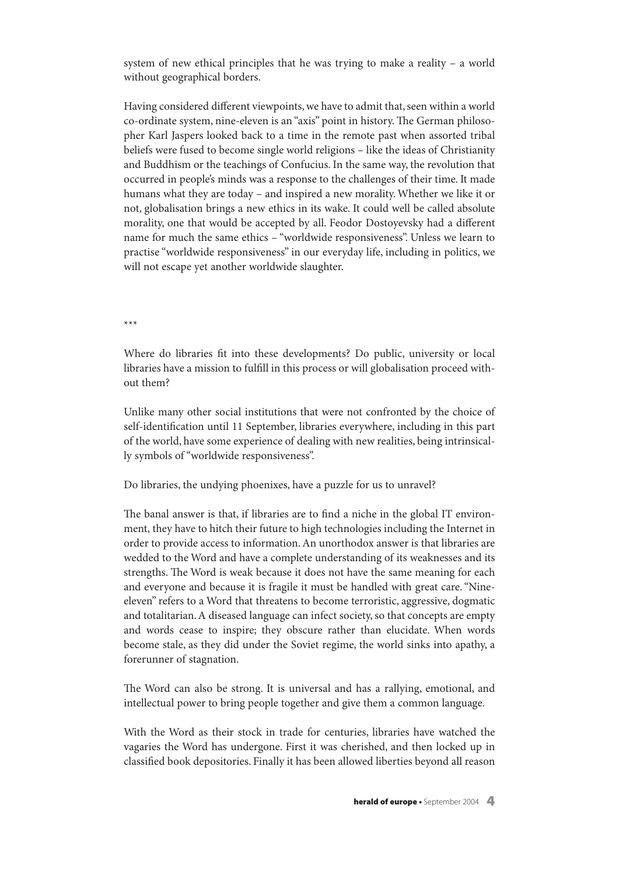system of new ethical principles that he was trying to make a reality – a world without geographical borders.

Having considered different viewpoints, we have to admit that, seen within a world co-ordinate system, nine-eleven is an "axis" point in history. The German philosopher Karl Jaspers looked back to a time in the remote past when assorted tribal beliefs were fused to become single world religions – like the ideas of Christianity and Buddhism or the teachings of Confucius. In the same way, the revolution that occurred in people's minds was a response to the challenges of their time. It made humans what they are today – and inspired a new morality.Whether we like it or not, globalisation brings a new ethics in its wake. It could well be called absolute morality, one that would be accepted by all. Feodor Dostoyevsky had a different name for much the same ethics – "worldwide responsiveness". Unless we learn to practise "worldwide responsiveness" in our everyday life, including in politics, we will not escape yet another worldwide slaughter.

\*\*\*

Where do libraries fit into these developments? Do public, university or local libraries have a mission to fulfill in this process or will globalisation proceed without them?

Unlike many other social institutions that were not confronted by the choice of self-identification until 11 September, libraries everywhere, including in this part of the world, have some experience of dealing with new realities, being intrinsically symbols of"worldwide responsiveness".

Do libraries, the undying phoenixes, have a puzzle for us to unravel?

The banal answer is that, if libraries are to find a niche in the global IT environment, they have to hitch their future to high technologies including the Internet in order to provide access to information.An unorthodox answer is that libraries are wedded to the Word and have a complete understanding of its weaknesses and its strengths. The Word is weak because it does not have the same meaning for each and everyone and because it is fragile it must be handled with great care."Nineeleven" refers to a Word that threatens to become terroristic, aggressive, dogmatic and totalitarian. A diseased language can infect society, so that concepts are empty and words cease to inspire; they obscure rather than elucidate. When words become stale, as they did under the Soviet regime, the world sinks into apathy, a forerunner of stagnation.

The Word can also be strong. It is universal and has a rallying, emotional, and intellectual power to bring people together and give them a common language.

With the Word as their stock in trade for centuries, libraries have watched the vagaries the Word has undergone. First it was cherished, and then locked up in classified book depositories. Finally it has been allowed liberties beyond all reason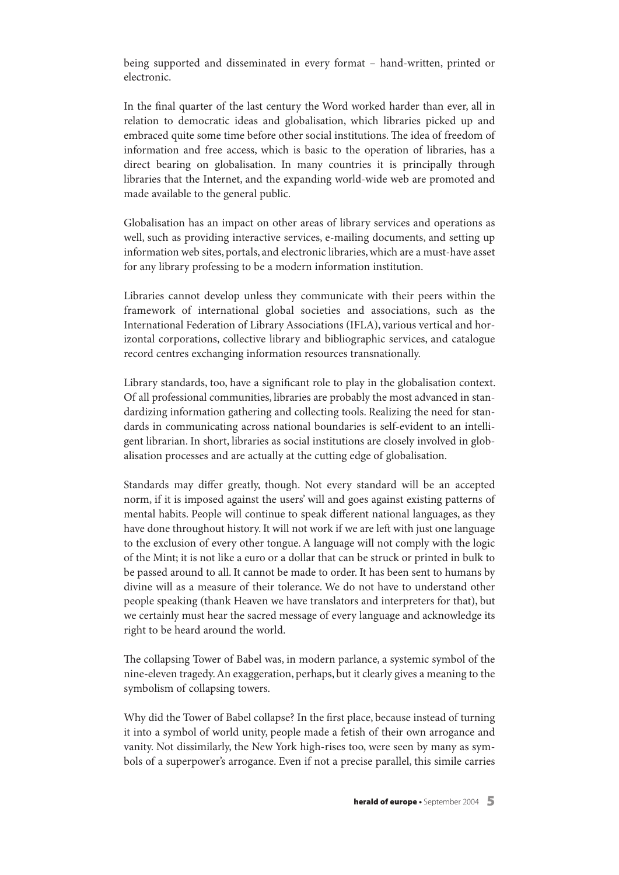being supported and disseminated in every format – hand-written, printed or electronic.

In the final quarter of the last century the Word worked harder than ever, all in relation to democratic ideas and globalisation, which libraries picked up and embraced quite some time before other social institutions. The idea of freedom of information and free access, which is basic to the operation of libraries, has a direct bearing on globalisation. In many countries it is principally through libraries that the Internet, and the expanding world-wide web are promoted and made available to the general public.

Globalisation has an impact on other areas of library services and operations as well, such as providing interactive services, e-mailing documents, and setting up information web sites, portals, and electronic libraries,which are a must-have asset for any library professing to be a modern information institution.

Libraries cannot develop unless they communicate with their peers within the framework of international global societies and associations, such as the International Federation of Library Associations (IFLA), various vertical and horizontal corporations, collective library and bibliographic services, and catalogue record centres exchanging information resources transnationally.

Library standards, too, have a significant role to play in the globalisation context. Of all professional communities, libraries are probably the most advanced in standardizing information gathering and collecting tools. Realizing the need for standards in communicating across national boundaries is self-evident to an intelligent librarian. In short, libraries as social institutions are closely involved in globalisation processes and are actually at the cutting edge of globalisation.

Standards may differ greatly, though. Not every standard will be an accepted norm, if it is imposed against the users' will and goes against existing patterns of mental habits. People will continue to speak different national languages, as they have done throughout history. It will not work if we are left with just one language to the exclusion of every other tongue.A language will not comply with the logic of the Mint; it is not like a euro or a dollar that can be struck or printed in bulk to be passed around to all. It cannot be made to order. It has been sent to humans by divine will as a measure of their tolerance. We do not have to understand other people speaking (thank Heaven we have translators and interpreters for that), but we certainly must hear the sacred message of every language and acknowledge its right to be heard around the world.

The collapsing Tower of Babel was, in modern parlance, a systemic symbol of the nine-eleven tragedy.An exaggeration, perhaps, but it clearly gives a meaning to the symbolism of collapsing towers.

Why did the Tower of Babel collapse? In the first place, because instead of turning it into a symbol of world unity, people made a fetish of their own arrogance and vanity. Not dissimilarly, the New York high-rises too, were seen by many as symbols of a superpower's arrogance. Even if not a precise parallel, this simile carries